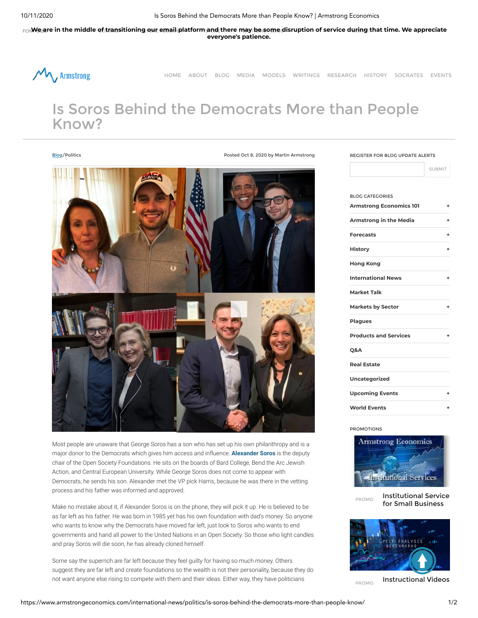10/11/2020 Is Soros Behind the Democrats More than People Know? | Armstrong Economics

For Mezzre in the middle of transitioning our email platform [and](https://www.armstrongeconomics.com/shop) there may be [some](https://www.armstrongeconomics.com/shop/) disruption of service during that time. We appreciate **everyone's patience.**



[HOME](https://www.armstrongeconomics.com/) [ABOUT](https://www.armstrongeconomics.com/about/) [BLOG](https://www.armstrongeconomics.com/blog/) [MEDIA](https://www.armstrongeconomics.com/interviews-press/media/) [MODELS](https://www.armstrongeconomics.com/models/) [WRITINGS](https://www.armstrongeconomics.com/writings/) [RESEARCH](https://www.armstrongeconomics.com/library-research/) [HISTORY](https://www.armstrongeconomics.com/research/) [SOCRATES](https://www.armstrongeconomics.com/socrates/) [EVENTS](https://www.armstrongeconomics.com/conferences/)

## Is Soros Behind the Democrats More than People Know?

[Blog/](https://www.armstrongeconomics.com/blog)Politics Posted Oct 8, 2020 by Martin Armstrong



Most people are unaware that George Soros has a son who has set up his own philanthropy and is a major donor to the Democrats which gives him access and influence. **[Alexander Soros](https://en.wikipedia.org/wiki/Alexander_Soros)** is the deputy chair of the Open Society Foundations. He sits on the boards of Bard College, Bend the Arc Jewish Action, and Central European University. While George Soros does not come to appear with Democrats, he sends his son. Alexander met the VP pick Harris, because he was there in the vetting process and his father was informed and approved.

Make no mistake about it, if Alexander Soros is on the phone, they will pick it up. He is believed to be as far left as his father. He was born in 1985 yet has his own foundation with dad's money. So anyone who wants to know why the Democrats have moved far left, just look to Soros who wants to end governments and hand all power to the United Nations in an Open Society. So those who light candles and pray Soros will die soon, he has already cloned himself.

Some say the superrich are far left because they feel guilty for having so much money. Others suggest they are far left and create foundations so the wealth is not their personality, because they do not want anyone else rising to compete with them and their ideas. Either way, they have politicians

## REGISTER FOR BLOG UPDATE ALERTS

SUBMIT

| <b>BLOG CATEGORIES</b>         |   |
|--------------------------------|---|
| <b>Armstrong Economics 101</b> | ٠ |
| Armstrong in the Media         | ٠ |
| <b>Forecasts</b>               | ٠ |
| <b>History</b>                 | ٠ |
| <b>Hong Kong</b>               |   |
| <b>International News</b>      | ٠ |
| <b>Market Talk</b>             |   |
| <b>Markets by Sector</b>       | ٠ |
| <b>Plagues</b>                 |   |
| <b>Products and Services</b>   | ٠ |
| <b>O&amp;A</b>                 |   |
| <b>Real Estate</b>             |   |
| <b>Uncategorized</b>           |   |
| <b>Upcoming Events</b>         | ٠ |
| <b>World Events</b>            | ٠ |

PROMOTIONS



PROMO [Institutional](https://www.armstrongeconomics.com/products_services/institutional-service-for-small-business/) Service for Small Business



PROMO [Instructional](https://www.armstrongeconomics.com/armstrongeconomics101/training-tools/instructional-video-benchmark-cycles/) Videos